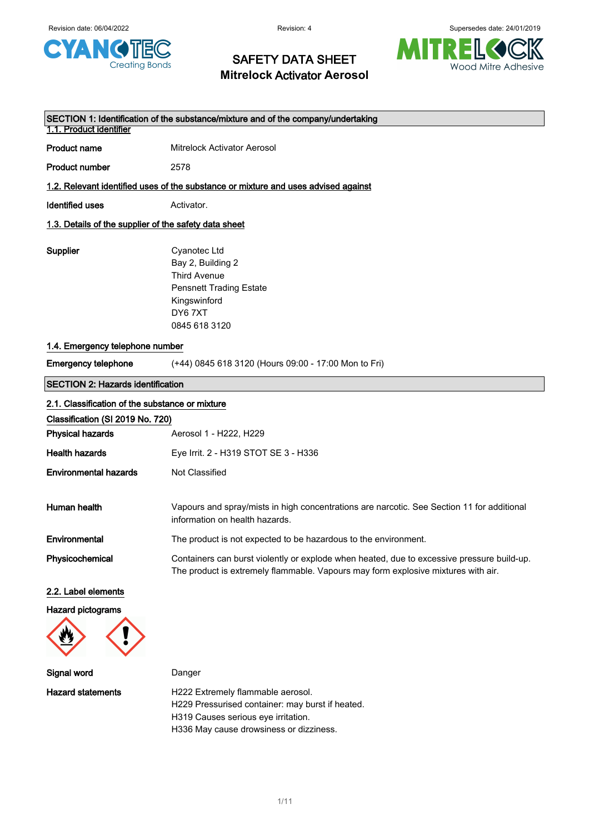

# SAFETY DATA SHEET **Mitrelock** Activator **Aerosol**



| SECTION 1: Identification of the substance/mixture and of the company/undertaking<br>1.1. Product identifier |                                                                                                                                                                                 |  |  |
|--------------------------------------------------------------------------------------------------------------|---------------------------------------------------------------------------------------------------------------------------------------------------------------------------------|--|--|
| <b>Product name</b>                                                                                          | <b>Mitrelock Activator Aerosol</b>                                                                                                                                              |  |  |
| <b>Product number</b>                                                                                        | 2578                                                                                                                                                                            |  |  |
|                                                                                                              | 1.2. Relevant identified uses of the substance or mixture and uses advised against                                                                                              |  |  |
| <b>Identified uses</b>                                                                                       | Activator.                                                                                                                                                                      |  |  |
|                                                                                                              | 1.3. Details of the supplier of the safety data sheet                                                                                                                           |  |  |
| Supplier                                                                                                     | Cyanotec Ltd<br>Bay 2, Building 2<br><b>Third Avenue</b><br><b>Pensnett Trading Estate</b><br>Kingswinford<br>DY67XT<br>0845 618 3120                                           |  |  |
| 1.4. Emergency telephone number                                                                              |                                                                                                                                                                                 |  |  |
| <b>Emergency telephone</b>                                                                                   | (+44) 0845 618 3120 (Hours 09:00 - 17:00 Mon to Fri)                                                                                                                            |  |  |
| <b>SECTION 2: Hazards identification</b>                                                                     |                                                                                                                                                                                 |  |  |
| 2.1. Classification of the substance or mixture                                                              |                                                                                                                                                                                 |  |  |
| Classification (SI 2019 No. 720)                                                                             |                                                                                                                                                                                 |  |  |
| <b>Physical hazards</b>                                                                                      | Aerosol 1 - H222, H229                                                                                                                                                          |  |  |
| <b>Health hazards</b>                                                                                        | Eye Irrit. 2 - H319 STOT SE 3 - H336                                                                                                                                            |  |  |
| <b>Environmental hazards</b>                                                                                 | Not Classified                                                                                                                                                                  |  |  |
| Human health                                                                                                 | Vapours and spray/mists in high concentrations are narcotic. See Section 11 for additional<br>information on health hazards.                                                    |  |  |
| Environmental                                                                                                | The product is not expected to be hazardous to the environment.                                                                                                                 |  |  |
| Physicochemical                                                                                              | Containers can burst violently or explode when heated, due to excessive pressure build-up.<br>The product is extremely flammable. Vapours may form explosive mixtures with air. |  |  |
| 2.2. Label elements                                                                                          |                                                                                                                                                                                 |  |  |
| Hazard pictograms                                                                                            |                                                                                                                                                                                 |  |  |
| Signal word                                                                                                  | Danger                                                                                                                                                                          |  |  |
| <b>Hazard statements</b>                                                                                     | H222 Extremely flammable aerosol.<br>H229 Pressurised container: may burst if heated.<br>H319 Causes serious eye irritation.                                                    |  |  |

H336 May cause drowsiness or dizziness.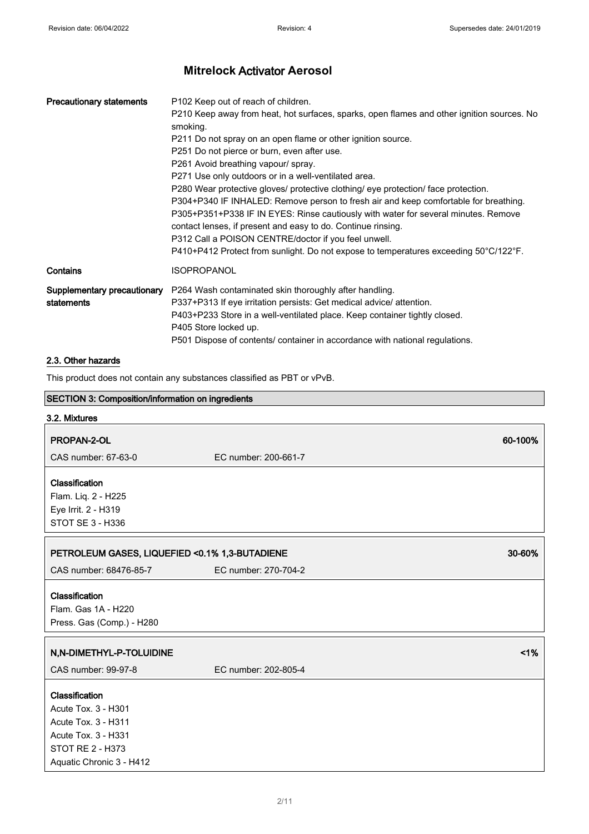| <b>Precautionary statements</b>           | P102 Keep out of reach of children.<br>P210 Keep away from heat, hot surfaces, sparks, open flames and other ignition sources. No<br>smoking.<br>P211 Do not spray on an open flame or other ignition source.<br>P251 Do not pierce or burn, even after use.<br>P261 Avoid breathing vapour/ spray.<br>P271 Use only outdoors or in a well-ventilated area.                                                                                                                      |
|-------------------------------------------|----------------------------------------------------------------------------------------------------------------------------------------------------------------------------------------------------------------------------------------------------------------------------------------------------------------------------------------------------------------------------------------------------------------------------------------------------------------------------------|
|                                           | P280 Wear protective gloves/ protective clothing/ eye protection/ face protection.<br>P304+P340 IF INHALED: Remove person to fresh air and keep comfortable for breathing.<br>P305+P351+P338 IF IN EYES: Rinse cautiously with water for several minutes. Remove<br>contact lenses, if present and easy to do. Continue rinsing.<br>P312 Call a POISON CENTRE/doctor if you feel unwell.<br>P410+P412 Protect from sunlight. Do not expose to temperatures exceeding 50°C/122°F. |
| Contains                                  | <b>ISOPROPANOL</b>                                                                                                                                                                                                                                                                                                                                                                                                                                                               |
| Supplementary precautionary<br>statements | P264 Wash contaminated skin thoroughly after handling.<br>P337+P313 If eye irritation persists: Get medical advice/attention.<br>P403+P233 Store in a well-ventilated place. Keep container tightly closed.<br>P405 Store locked up.<br>P501 Dispose of contents/ container in accordance with national regulations.                                                                                                                                                             |

## 2.3. Other hazards

This product does not contain any substances classified as PBT or vPvB.

| <b>SECTION 3: Composition/information on ingredients</b> |                                                           |         |  |
|----------------------------------------------------------|-----------------------------------------------------------|---------|--|
| 3.2. Mixtures                                            |                                                           |         |  |
| PROPAN-2-OL                                              |                                                           | 60-100% |  |
| CAS number: 67-63-0                                      | EC number: 200-661-7                                      |         |  |
| Classification                                           |                                                           |         |  |
| Flam. Liq. 2 - H225                                      |                                                           |         |  |
| Eye Irrit. 2 - H319                                      |                                                           |         |  |
| STOT SE 3 - H336                                         |                                                           |         |  |
|                                                          | PETROLEUM GASES, LIQUEFIED < 0.1% 1,3-BUTADIENE<br>30-60% |         |  |
| CAS number: 68476-85-7                                   | EC number: 270-704-2                                      |         |  |
| Classification                                           |                                                           |         |  |
| Flam. Gas 1A - H220                                      |                                                           |         |  |
| Press. Gas (Comp.) - H280                                |                                                           |         |  |
| N,N-DIMETHYL-P-TOLUIDINE                                 |                                                           | 1%      |  |
| CAS number: 99-97-8                                      | EC number: 202-805-4                                      |         |  |
| Classification                                           |                                                           |         |  |
| Acute Tox. 3 - H301                                      |                                                           |         |  |
| Acute Tox. 3 - H311                                      |                                                           |         |  |
| Acute Tox. 3 - H331                                      |                                                           |         |  |
| <b>STOT RE 2 - H373</b>                                  |                                                           |         |  |
| Aquatic Chronic 3 - H412                                 |                                                           |         |  |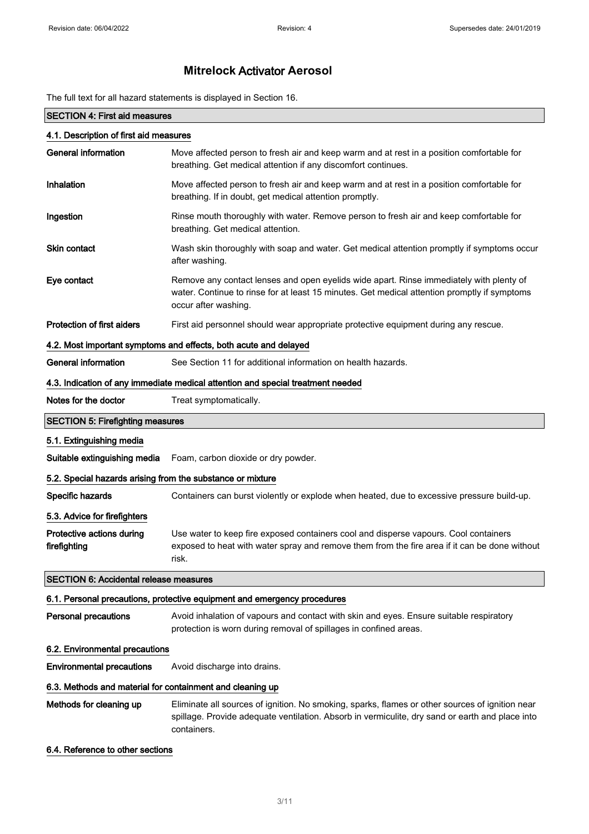The full text for all hazard statements is displayed in Section 16.

### SECTION 4: First aid measures

| 4.1. Description of first aid measures                     |                                                                                                                                                                                                                   |  |
|------------------------------------------------------------|-------------------------------------------------------------------------------------------------------------------------------------------------------------------------------------------------------------------|--|
| <b>General information</b>                                 | Move affected person to fresh air and keep warm and at rest in a position comfortable for<br>breathing. Get medical attention if any discomfort continues.                                                        |  |
| Inhalation                                                 | Move affected person to fresh air and keep warm and at rest in a position comfortable for<br>breathing. If in doubt, get medical attention promptly.                                                              |  |
| Ingestion                                                  | Rinse mouth thoroughly with water. Remove person to fresh air and keep comfortable for<br>breathing. Get medical attention.                                                                                       |  |
| Skin contact                                               | Wash skin thoroughly with soap and water. Get medical attention promptly if symptoms occur<br>after washing.                                                                                                      |  |
| Eye contact                                                | Remove any contact lenses and open eyelids wide apart. Rinse immediately with plenty of<br>water. Continue to rinse for at least 15 minutes. Get medical attention promptly if symptoms<br>occur after washing.   |  |
| <b>Protection of first aiders</b>                          | First aid personnel should wear appropriate protective equipment during any rescue.                                                                                                                               |  |
|                                                            | 4.2. Most important symptoms and effects, both acute and delayed                                                                                                                                                  |  |
| <b>General information</b>                                 | See Section 11 for additional information on health hazards.                                                                                                                                                      |  |
|                                                            | 4.3. Indication of any immediate medical attention and special treatment needed                                                                                                                                   |  |
| Notes for the doctor                                       | Treat symptomatically.                                                                                                                                                                                            |  |
| <b>SECTION 5: Firefighting measures</b>                    |                                                                                                                                                                                                                   |  |
| 5.1. Extinguishing media                                   |                                                                                                                                                                                                                   |  |
| Suitable extinguishing media                               | Foam, carbon dioxide or dry powder.                                                                                                                                                                               |  |
| 5.2. Special hazards arising from the substance or mixture |                                                                                                                                                                                                                   |  |
| Specific hazards                                           | Containers can burst violently or explode when heated, due to excessive pressure build-up.                                                                                                                        |  |
| 5.3. Advice for firefighters                               |                                                                                                                                                                                                                   |  |
| Protective actions during<br>firefighting                  | Use water to keep fire exposed containers cool and disperse vapours. Cool containers<br>exposed to heat with water spray and remove them from the fire area if it can be done without<br>risk.                    |  |
| <b>SECTION 6: Accidental release measures</b>              |                                                                                                                                                                                                                   |  |
|                                                            | 6.1. Personal precautions, protective equipment and emergency procedures                                                                                                                                          |  |
| <b>Personal precautions</b>                                | Avoid inhalation of vapours and contact with skin and eyes. Ensure suitable respiratory<br>protection is worn during removal of spillages in confined areas.                                                      |  |
| 6.2. Environmental precautions                             |                                                                                                                                                                                                                   |  |
| <b>Environmental precautions</b>                           | Avoid discharge into drains.                                                                                                                                                                                      |  |
| 6.3. Methods and material for containment and cleaning up  |                                                                                                                                                                                                                   |  |
| Methods for cleaning up                                    | Eliminate all sources of ignition. No smoking, sparks, flames or other sources of ignition near<br>spillage. Provide adequate ventilation. Absorb in vermiculite, dry sand or earth and place into<br>containers. |  |
| 6.4. Reference to other sections                           |                                                                                                                                                                                                                   |  |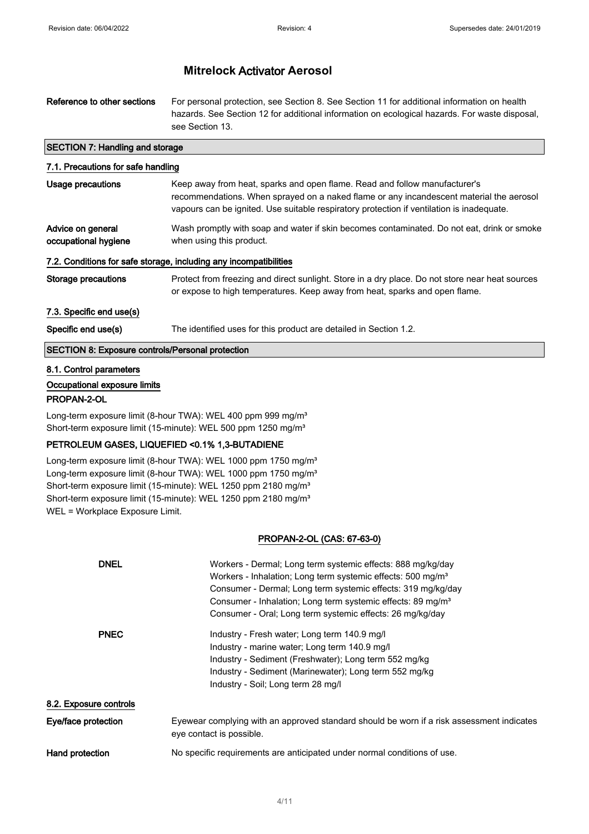| Reference to other sections            | For personal protection, see Section 8. See Section 11 for additional information on health<br>hazards. See Section 12 for additional information on ecological hazards. For waste disposal,<br>see Section 13. |  |
|----------------------------------------|-----------------------------------------------------------------------------------------------------------------------------------------------------------------------------------------------------------------|--|
| <b>SECTION 7: Handling and storage</b> |                                                                                                                                                                                                                 |  |

# 7.1. Precautions for safe handling Usage precautions **Keep away from heat, sparks and open flame**. Read and follow manufacturer's recommendations. When sprayed on a naked flame or any incandescent material the aerosol vapours can be ignited. Use suitable respiratory protection if ventilation is inadequate. Advice on general occupational hygiene Wash promptly with soap and water if skin becomes contaminated. Do not eat, drink or smoke when using this product. 7.2. Conditions for safe storage, including any incompatibilities Storage precautions Protect from freezing and direct sunlight. Store in a dry place. Do not store near heat sources or expose to high temperatures. Keep away from heat, sparks and open flame. 7.3. Specific end use(s) Specific end use(s) The identified uses for this product are detailed in Section 1.2. SECTION 8: Exposure controls/Personal protection 8.1. Control parameters

### Occupational exposure limits

#### PROPAN-2-OL

Long-term exposure limit (8-hour TWA): WEL 400 ppm 999 mg/m<sup>3</sup> Short-term exposure limit (15-minute): WEL 500 ppm 1250 mg/m<sup>3</sup>

#### PETROLEUM GASES, LIQUEFIED <0.1% 1,3-BUTADIENE

Long-term exposure limit (8-hour TWA): WEL 1000 ppm 1750 mg/m<sup>3</sup> Long-term exposure limit (8-hour TWA): WEL 1000 ppm 1750 mg/m<sup>3</sup> Short-term exposure limit (15-minute): WEL 1250 ppm 2180 mg/m<sup>3</sup> Short-term exposure limit (15-minute): WEL 1250 ppm 2180 mg/m<sup>3</sup> WEL = Workplace Exposure Limit.

#### PROPAN-2-OL (CAS: 67-63-0)

| <b>DNEL</b>            | Workers - Dermal; Long term systemic effects: 888 mg/kg/day                                                           |  |
|------------------------|-----------------------------------------------------------------------------------------------------------------------|--|
|                        | Workers - Inhalation; Long term systemic effects: 500 mg/m <sup>3</sup>                                               |  |
|                        | Consumer - Dermal; Long term systemic effects: 319 mg/kg/day                                                          |  |
|                        | Consumer - Inhalation; Long term systemic effects: 89 mg/m <sup>3</sup>                                               |  |
|                        | Consumer - Oral; Long term systemic effects: 26 mg/kg/day                                                             |  |
| <b>PNEC</b>            | Industry - Fresh water; Long term 140.9 mg/l                                                                          |  |
|                        | Industry - marine water; Long term 140.9 mg/l                                                                         |  |
|                        | Industry - Sediment (Freshwater); Long term 552 mg/kg                                                                 |  |
|                        | Industry - Sediment (Marinewater); Long term 552 mg/kg                                                                |  |
|                        | Industry - Soil; Long term 28 mg/l                                                                                    |  |
| 8.2. Exposure controls |                                                                                                                       |  |
| Eye/face protection    | Eyewear complying with an approved standard should be worn if a risk assessment indicates<br>eye contact is possible. |  |
| Hand protection        | No specific requirements are anticipated under normal conditions of use.                                              |  |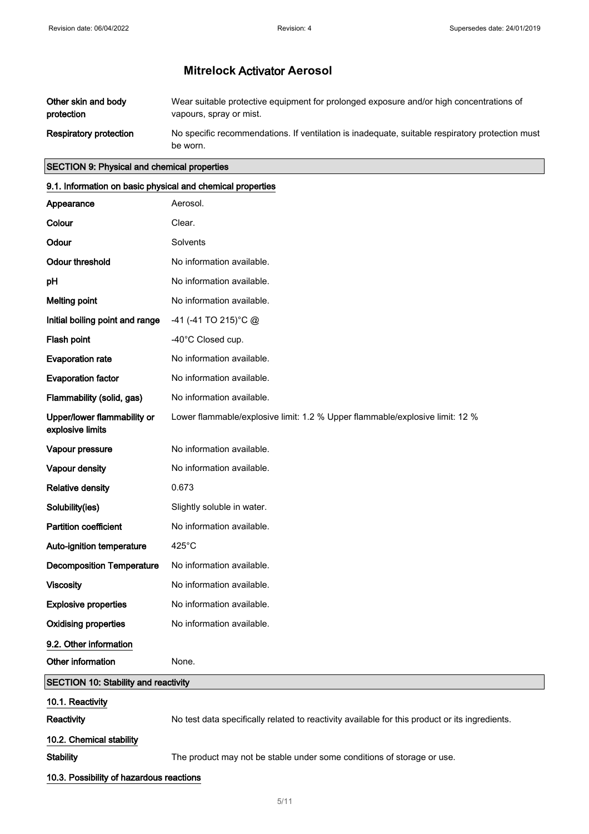| Other skin and body           | Wear suitable protective equipment for prolonged exposure and/or high concentrations of                     |
|-------------------------------|-------------------------------------------------------------------------------------------------------------|
| protection                    | vapours, spray or mist.                                                                                     |
| <b>Respiratory protection</b> | No specific recommendations. If ventilation is inadequate, suitable respiratory protection must<br>be worn. |

### SECTION 9: Physical and chemical properties

### 9.1. Information on basic physical and chemical properties

| Appearance                                      | Aerosol.                                                                                       |  |  |
|-------------------------------------------------|------------------------------------------------------------------------------------------------|--|--|
| Colour                                          | Clear.                                                                                         |  |  |
| Odour                                           | Solvents                                                                                       |  |  |
| <b>Odour threshold</b>                          | No information available.                                                                      |  |  |
| pH                                              | No information available.                                                                      |  |  |
| <b>Melting point</b>                            | No information available.                                                                      |  |  |
| Initial boiling point and range                 | -41 (-41 TO 215) °C @                                                                          |  |  |
| Flash point                                     | -40°C Closed cup.                                                                              |  |  |
| <b>Evaporation rate</b>                         | No information available.                                                                      |  |  |
| <b>Evaporation factor</b>                       | No information available.                                                                      |  |  |
| Flammability (solid, gas)                       | No information available.                                                                      |  |  |
| Upper/lower flammability or<br>explosive limits | Lower flammable/explosive limit: 1.2 % Upper flammable/explosive limit: 12 %                   |  |  |
| Vapour pressure                                 | No information available.                                                                      |  |  |
| Vapour density                                  | No information available.                                                                      |  |  |
| <b>Relative density</b>                         | 0.673                                                                                          |  |  |
| Solubility(ies)                                 | Slightly soluble in water.                                                                     |  |  |
| <b>Partition coefficient</b>                    | No information available.                                                                      |  |  |
| Auto-ignition temperature                       | 425°C                                                                                          |  |  |
| <b>Decomposition Temperature</b>                | No information available.                                                                      |  |  |
| <b>Viscosity</b>                                | No information available.                                                                      |  |  |
| <b>Explosive properties</b>                     | No information available.                                                                      |  |  |
| <b>Oxidising properties</b>                     | No information available.                                                                      |  |  |
| 9.2. Other information                          |                                                                                                |  |  |
| Other information                               | None.                                                                                          |  |  |
| <b>SECTION 10: Stability and reactivity</b>     |                                                                                                |  |  |
| 10.1. Reactivity                                |                                                                                                |  |  |
| Reactivity                                      | No test data specifically related to reactivity available for this product or its ingredients. |  |  |

10.2. Chemical stability

Stability The product may not be stable under some conditions of storage or use.

10.3. Possibility of hazardous reactions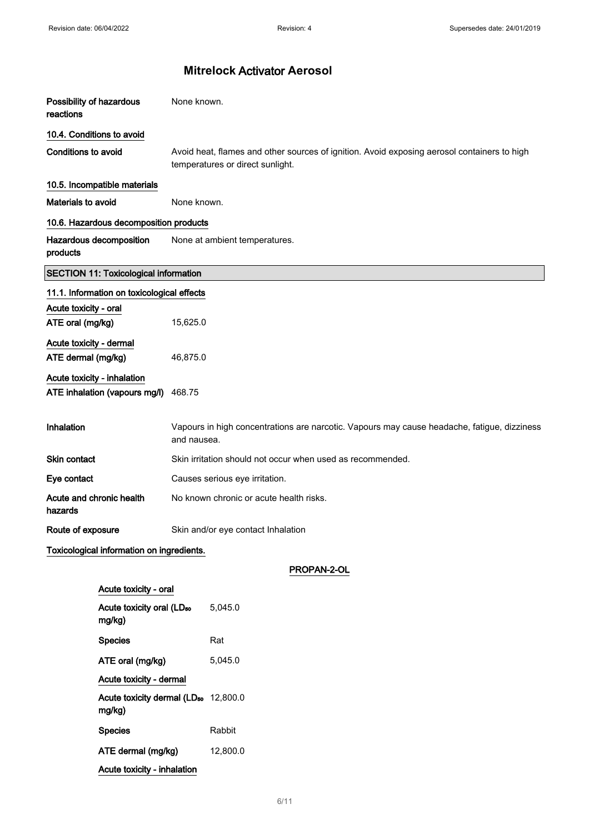| Possibility of hazardous<br>reactions                                  |                                                                                       | None known.                   |                                                                                                                                 |
|------------------------------------------------------------------------|---------------------------------------------------------------------------------------|-------------------------------|---------------------------------------------------------------------------------------------------------------------------------|
| 10.4. Conditions to avoid                                              |                                                                                       |                               |                                                                                                                                 |
| <b>Conditions to avoid</b>                                             |                                                                                       |                               | Avoid heat, flames and other sources of ignition. Avoid exposing aerosol containers to high<br>temperatures or direct sunlight. |
|                                                                        | 10.5. Incompatible materials                                                          |                               |                                                                                                                                 |
| Materials to avoid                                                     |                                                                                       | None known.                   |                                                                                                                                 |
|                                                                        | 10.6. Hazardous decomposition products                                                |                               |                                                                                                                                 |
| products                                                               | Hazardous decomposition                                                               | None at ambient temperatures. |                                                                                                                                 |
|                                                                        | <b>SECTION 11: Toxicological information</b>                                          |                               |                                                                                                                                 |
|                                                                        | 11.1. Information on toxicological effects                                            |                               |                                                                                                                                 |
| Acute toxicity - oral<br>ATE oral (mg/kg)                              |                                                                                       | 15,625.0                      |                                                                                                                                 |
| Acute toxicity - dermal<br>ATE dermal (mg/kg)                          |                                                                                       | 46,875.0                      |                                                                                                                                 |
| Acute toxicity - inhalation<br>ATE inhalation (vapours mg/l)<br>468.75 |                                                                                       |                               |                                                                                                                                 |
| Inhalation                                                             |                                                                                       | and nausea.                   | Vapours in high concentrations are narcotic. Vapours may cause headache, fatigue, dizziness                                     |
| <b>Skin contact</b>                                                    |                                                                                       |                               | Skin irritation should not occur when used as recommended.                                                                      |
| Eye contact                                                            |                                                                                       |                               | Causes serious eye irritation.                                                                                                  |
| Acute and chronic health<br>hazards                                    |                                                                                       |                               | No known chronic or acute health risks.                                                                                         |
| Route of exposure                                                      |                                                                                       |                               | Skin and/or eye contact Inhalation                                                                                              |
|                                                                        | Toxicological information on ingredients.                                             |                               |                                                                                                                                 |
|                                                                        |                                                                                       |                               | PROPAN-2-OL                                                                                                                     |
|                                                                        | Acute toxicity - oral                                                                 |                               |                                                                                                                                 |
|                                                                        | Acute toxicity oral (LD <sub>50</sub><br>mg/kg)<br><b>Species</b><br>ATE oral (mg/kg) |                               | 5,045.0                                                                                                                         |
|                                                                        |                                                                                       |                               | Rat                                                                                                                             |
|                                                                        |                                                                                       |                               | 5,045.0                                                                                                                         |
|                                                                        | Acute toxicity - dermal                                                               |                               |                                                                                                                                 |
|                                                                        | Acute toxicity dermal (LD <sub>50</sub> 12,800.0<br>mg/kg)                            |                               |                                                                                                                                 |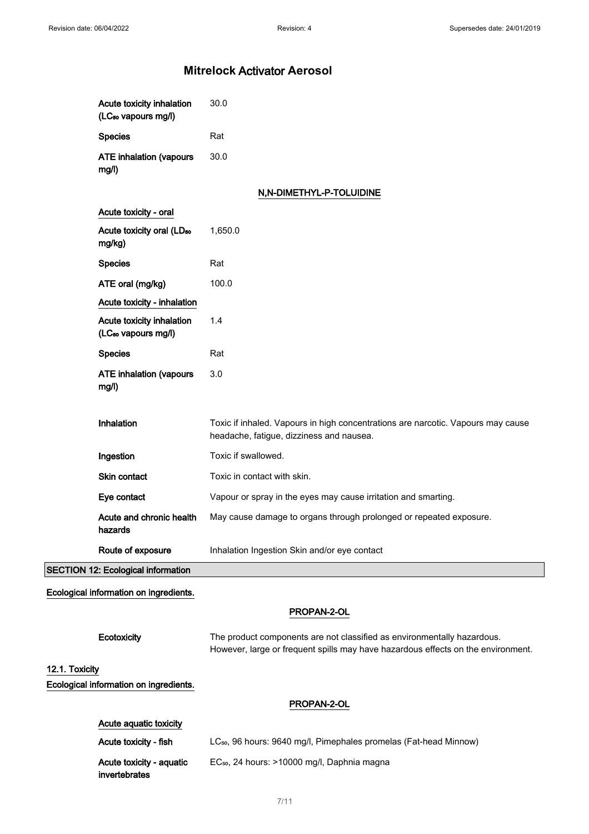| Inhalation<br>Ingestion<br>Skin contact<br>Eye contact       | Toxic if inhaled. Vapours in high concentrations are narcotic. Vapours may cause<br>headache, fatigue, dizziness and nausea.<br>Toxic if swallowed.<br>Toxic in contact with skin.<br>Vapour or spray in the eyes may cause irritation and smarting. |
|--------------------------------------------------------------|------------------------------------------------------------------------------------------------------------------------------------------------------------------------------------------------------------------------------------------------------|
|                                                              |                                                                                                                                                                                                                                                      |
|                                                              |                                                                                                                                                                                                                                                      |
|                                                              |                                                                                                                                                                                                                                                      |
|                                                              |                                                                                                                                                                                                                                                      |
| <b>ATE inhalation (vapours</b><br>mg/l)                      | 3.0                                                                                                                                                                                                                                                  |
| <b>Species</b>                                               | Rat                                                                                                                                                                                                                                                  |
| Acute toxicity inhalation<br>(LC <sub>50</sub> vapours mg/l) | 1.4                                                                                                                                                                                                                                                  |
| Acute toxicity - inhalation                                  |                                                                                                                                                                                                                                                      |
| ATE oral (mg/kg)                                             | 100.0                                                                                                                                                                                                                                                |
| <b>Species</b>                                               | Rat                                                                                                                                                                                                                                                  |
| Acute toxicity oral (LD <sub>50</sub><br>mg/kg)              | 1,650.0                                                                                                                                                                                                                                              |
| Acute toxicity - oral                                        | N,N-DIMETHYL-P-TOLUIDINE                                                                                                                                                                                                                             |
|                                                              |                                                                                                                                                                                                                                                      |
| <b>ATE inhalation (vapours</b><br>mg/l)                      | 30.0                                                                                                                                                                                                                                                 |
| <b>Species</b>                                               | Rat                                                                                                                                                                                                                                                  |
| Acute toxicity inhalation<br>(LC <sub>50</sub> vapours mg/l) | 30.0                                                                                                                                                                                                                                                 |

| Acute aguatic toxicity                    |                                                                               |
|-------------------------------------------|-------------------------------------------------------------------------------|
| Acute toxicity - fish                     | LC <sub>50</sub> , 96 hours: 9640 mg/l, Pimephales promelas (Fat-head Minnow) |
| Acute toxicity - aguatic<br>invertebrates | EC <sub>50</sub> , 24 hours: >10000 mg/l, Daphnia magna                       |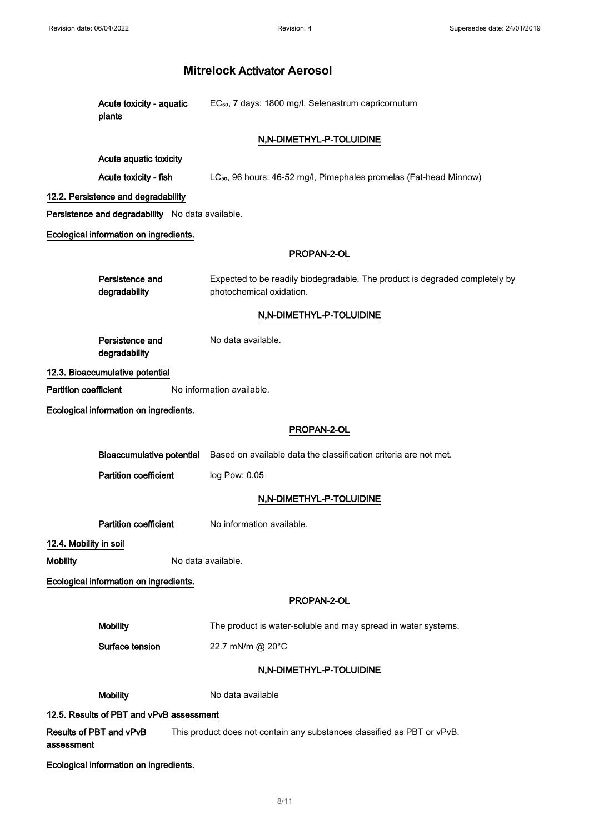|                              | Acute toxicity - aquatic<br>plants               | EC <sub>50</sub> , 7 days: 1800 mg/l, Selenastrum capricornutum                                         |
|------------------------------|--------------------------------------------------|---------------------------------------------------------------------------------------------------------|
|                              |                                                  | N,N-DIMETHYL-P-TOLUIDINE                                                                                |
|                              | Acute aquatic toxicity                           |                                                                                                         |
|                              | Acute toxicity - fish                            | LC <sub>50</sub> , 96 hours: 46-52 mg/l, Pimephales promelas (Fat-head Minnow)                          |
|                              | 12.2. Persistence and degradability              |                                                                                                         |
|                              | Persistence and degradability No data available. |                                                                                                         |
|                              | Ecological information on ingredients.           |                                                                                                         |
|                              |                                                  | PROPAN-2-OL                                                                                             |
|                              | Persistence and<br>degradability                 | Expected to be readily biodegradable. The product is degraded completely by<br>photochemical oxidation. |
|                              |                                                  | N,N-DIMETHYL-P-TOLUIDINE                                                                                |
|                              | Persistence and<br>degradability                 | No data available.                                                                                      |
|                              | 12.3. Bioaccumulative potential                  |                                                                                                         |
| <b>Partition coefficient</b> |                                                  | No information available.                                                                               |
|                              | Ecological information on ingredients.           |                                                                                                         |
|                              |                                                  | PROPAN-2-OL                                                                                             |
|                              | <b>Bioaccumulative potential</b>                 | Based on available data the classification criteria are not met.                                        |
|                              | <b>Partition coefficient</b>                     | log Pow: 0.05                                                                                           |
|                              |                                                  | N,N-DIMETHYL-P-TOLUIDINE                                                                                |
|                              | <b>Partition coefficient</b>                     | No information available.                                                                               |
| 12.4. Mobility in soil       |                                                  |                                                                                                         |
| <b>Mobility</b>              |                                                  | No data available.                                                                                      |
|                              | Ecological information on ingredients.           |                                                                                                         |
|                              |                                                  | PROPAN-2-OL                                                                                             |
|                              | <b>Mobility</b>                                  | The product is water-soluble and may spread in water systems.                                           |
|                              | Surface tension                                  | 22.7 mN/m @ 20°C                                                                                        |
|                              |                                                  | N,N-DIMETHYL-P-TOLUIDINE                                                                                |
|                              | <b>Mobility</b>                                  | No data available                                                                                       |
|                              | 12.5. Results of PBT and vPvB assessment         |                                                                                                         |
| assessment                   | Results of PBT and vPvB                          | This product does not contain any substances classified as PBT or vPvB.                                 |
|                              | Ecological information on ingredients.           |                                                                                                         |
|                              |                                                  |                                                                                                         |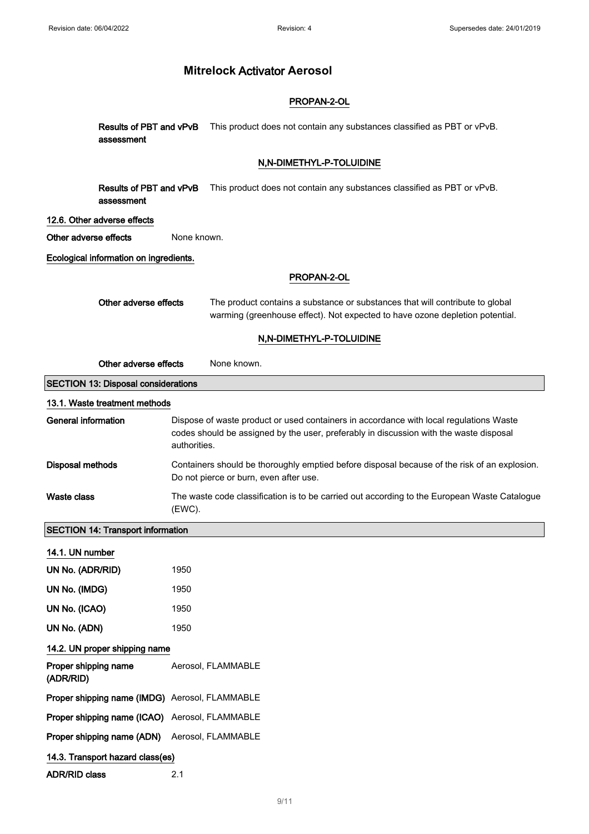### PROPAN-2-OL

Results of PBT and vPvB This product does not contain any substances classified as PBT or vPvB. assessment

### N,N-DIMETHYL-P-TOLUIDINE

**Results of PBT and vPvB** This product does not contain any substances classified as PBT or vPvB. assessment

#### 12.6. Other adverse effects

Other adverse effects None known.

Ecological information on ingredients.

#### PROPAN-2-OL

| Other adverse effects | The product contains a substance or substances that will contribute to global |
|-----------------------|-------------------------------------------------------------------------------|
|                       | warming (greenhouse effect). Not expected to have ozone depletion potential.  |

#### N,N-DIMETHYL-P-TOLUIDINE

| Other adverse effects<br>None known.           |                                                                                                                                                                                                  |  |  |
|------------------------------------------------|--------------------------------------------------------------------------------------------------------------------------------------------------------------------------------------------------|--|--|
| <b>SECTION 13: Disposal considerations</b>     |                                                                                                                                                                                                  |  |  |
| 13.1. Waste treatment methods                  |                                                                                                                                                                                                  |  |  |
| <b>General information</b>                     | Dispose of waste product or used containers in accordance with local regulations Waste<br>codes should be assigned by the user, preferably in discussion with the waste disposal<br>authorities. |  |  |
| <b>Disposal methods</b>                        | Containers should be thoroughly emptied before disposal because of the risk of an explosion.<br>Do not pierce or burn, even after use.                                                           |  |  |
| <b>Waste class</b>                             | The waste code classification is to be carried out according to the European Waste Catalogue<br>(EWC).                                                                                           |  |  |
| <b>SECTION 14: Transport information</b>       |                                                                                                                                                                                                  |  |  |
| 14.1. UN number                                |                                                                                                                                                                                                  |  |  |
| UN No. (ADR/RID)                               | 1950                                                                                                                                                                                             |  |  |
| UN No. (IMDG)                                  | 1950                                                                                                                                                                                             |  |  |
| UN No. (ICAO)                                  | 1950                                                                                                                                                                                             |  |  |
| UN No. (ADN)                                   | 1950                                                                                                                                                                                             |  |  |
| 14.2. UN proper shipping name                  |                                                                                                                                                                                                  |  |  |
| Proper shipping name<br>(ADR/RID)              | Aerosol, FLAMMABLE                                                                                                                                                                               |  |  |
| Proper shipping name (IMDG) Aerosol, FLAMMABLE |                                                                                                                                                                                                  |  |  |
| Proper shipping name (ICAO) Aerosol, FLAMMABLE |                                                                                                                                                                                                  |  |  |
| Proper shipping name (ADN)                     | Aerosol, FLAMMABLE                                                                                                                                                                               |  |  |
| 14.3. Transport hazard class(es)               |                                                                                                                                                                                                  |  |  |
| <b>ADR/RID class</b>                           | 2.1                                                                                                                                                                                              |  |  |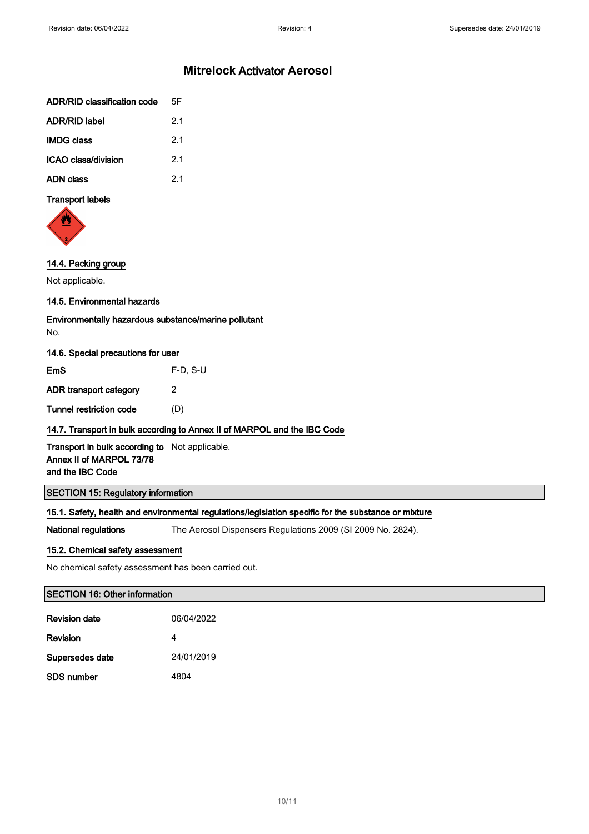| <b>ADR/RID classification code</b> | 5F             |
|------------------------------------|----------------|
| <b>ADR/RID label</b>               | 21             |
| <b>IMDG class</b>                  | 2 <sub>1</sub> |
| ICAO class/division                | 2 <sub>1</sub> |
| <b>ADN class</b>                   | 21             |

#### Transport labels



### 14.4. Packing group

Not applicable.

### 14.5. Environmental hazards

Environmentally hazardous substance/marine pollutant No.

#### 14.6. Special precautions for user

| EmS                     | $F-D$ , S-U |
|-------------------------|-------------|
| ADR transport category  | 2           |
| Tunnel restriction code | (D)         |

### 14.7. Transport in bulk according to Annex II of MARPOL and the IBC Code

Transport in bulk according to Not applicable. Annex II of MARPOL 73/78 and the IBC Code

### SECTION 15: Regulatory information

### 15.1. Safety, health and environmental regulations/legislation specific for the substance or mixture

National regulations The Aerosol Dispensers Regulations 2009 (SI 2009 No. 2824).

#### 15.2. Chemical safety assessment

No chemical safety assessment has been carried out.

#### SECTION 16: Other information

| <b>Revision date</b> | 06/04/2022 |
|----------------------|------------|
| <b>Revision</b>      | 4          |
| Supersedes date      | 24/01/2019 |
| SDS number           | 4804       |